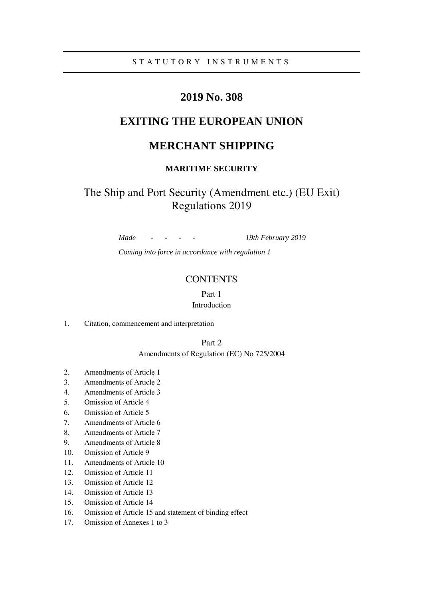# **2019 No. 308**

# **EXITING THE EUROPEAN UNION**

# **MERCHANT SHIPPING**

## **MARITIME SECURITY**

# The Ship and Port Security (Amendment etc.) (EU Exit) Regulations 2019

*Made - - - - 19th February 2019 Coming into force in accordance with regulation 1* 

## **CONTENTS**

## Part 1 Introduction

1. Citation, commencement and interpretation

## Part 2

### Amendments of Regulation (EC) No 725/2004

- 2. Amendments of Article 1
- 3. Amendments of Article 2
- 4. Amendments of Article 3
- 5. Omission of Article 4
- 6. Omission of Article 5
- 7. Amendments of Article 6
- 8. Amendments of Article 7
- 9. Amendments of Article 8
- 10. Omission of Article 9
- 11. Amendments of Article 10
- 12. Omission of Article 11
- 13. Omission of Article 12
- 14. Omission of Article 13
- 15. Omission of Article 14
- 16. Omission of Article 15 and statement of binding effect
- 17. Omission of Annexes 1 to 3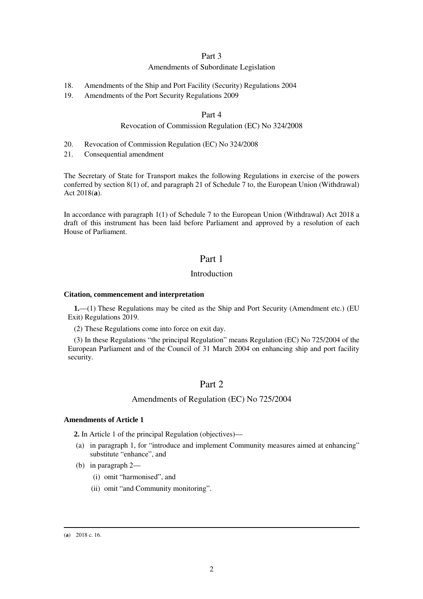## Part 3

### Amendments of Subordinate Legislation

- 18. Amendments of the Ship and Port Facility (Security) Regulations 2004
- 19. Amendments of the Port Security Regulations 2009

## Part 4

#### Revocation of Commission Regulation (EC) No 324/2008

- 20. Revocation of Commission Regulation (EC) No 324/2008
- 21. Consequential amendment

The Secretary of State for Transport makes the following Regulations in exercise of the powers conferred by section 8(1) of, and paragraph 21 of Schedule 7 to, the European Union (Withdrawal) Act 2018(**a**).

In accordance with paragraph 1(1) of Schedule 7 to the European Union (Withdrawal) Act 2018 a draft of this instrument has been laid before Parliament and approved by a resolution of each House of Parliament.

## Part 1

#### Introduction

#### **Citation, commencement and interpretation**

**1.**—(1) These Regulations may be cited as the Ship and Port Security (Amendment etc.) (EU Exit) Regulations 2019.

(2) These Regulations come into force on exit day.

(3) In these Regulations "the principal Regulation" means Regulation (EC) No 725/2004 of the European Parliament and of the Council of 31 March 2004 on enhancing ship and port facility security.

## Part 2

#### Amendments of Regulation (EC) No 725/2004

#### **Amendments of Article 1**

**2.** In Article 1 of the principal Regulation (objectives)—

- (a) in paragraph 1, for "introduce and implement Community measures aimed at enhancing" substitute "enhance", and
- (b) in paragraph 2—
	- (i) omit "harmonised", and
	- (ii) omit "and Community monitoring".

#### (**a**) 2018 c. 16.

-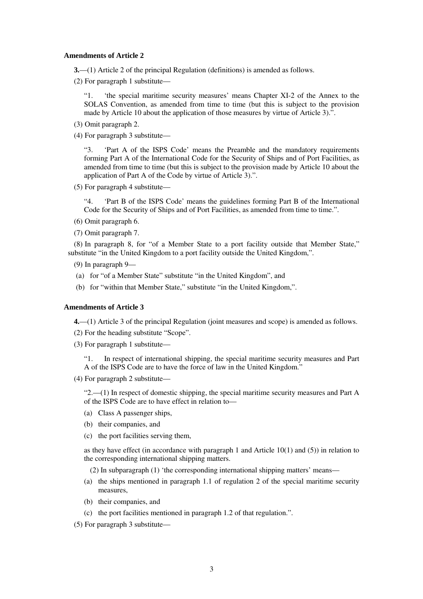#### **Amendments of Article 2**

- **3.**—(1) Article 2 of the principal Regulation (definitions) is amended as follows.
- (2) For paragraph 1 substitute—

"1. 'the special maritime security measures' means Chapter XI-2 of the Annex to the SOLAS Convention, as amended from time to time (but this is subject to the provision made by Article 10 about the application of those measures by virtue of Article 3).".

- (3) Omit paragraph 2.
- (4) For paragraph 3 substitute—

"3. 'Part A of the ISPS Code' means the Preamble and the mandatory requirements forming Part A of the International Code for the Security of Ships and of Port Facilities, as amended from time to time (but this is subject to the provision made by Article 10 about the application of Part A of the Code by virtue of Article 3).".

(5) For paragraph 4 substitute—

"4. 'Part B of the ISPS Code' means the guidelines forming Part B of the International Code for the Security of Ships and of Port Facilities, as amended from time to time.".

- (6) Omit paragraph 6.
- (7) Omit paragraph 7.

(8) In paragraph 8, for "of a Member State to a port facility outside that Member State," substitute "in the United Kingdom to a port facility outside the United Kingdom,".

(9) In paragraph 9—

- (a) for "of a Member State" substitute "in the United Kingdom", and
- (b) for "within that Member State," substitute "in the United Kingdom,".

#### **Amendments of Article 3**

**4.**—(1) Article 3 of the principal Regulation (joint measures and scope) is amended as follows.

(2) For the heading substitute "Scope".

(3) For paragraph 1 substitute—

"1. In respect of international shipping, the special maritime security measures and Part A of the ISPS Code are to have the force of law in the United Kingdom."

(4) For paragraph 2 substitute—

"2.—(1) In respect of domestic shipping, the special maritime security measures and Part A of the ISPS Code are to have effect in relation to—

- (a) Class A passenger ships,
- (b) their companies, and
- (c) the port facilities serving them,

as they have effect (in accordance with paragraph 1 and Article  $10(1)$  and  $(5)$ ) in relation to the corresponding international shipping matters.

(2) In subparagraph (1) 'the corresponding international shipping matters' means—

- (a) the ships mentioned in paragraph 1.1 of regulation 2 of the special maritime security measures,
- (b) their companies, and
- (c) the port facilities mentioned in paragraph 1.2 of that regulation.".

(5) For paragraph 3 substitute—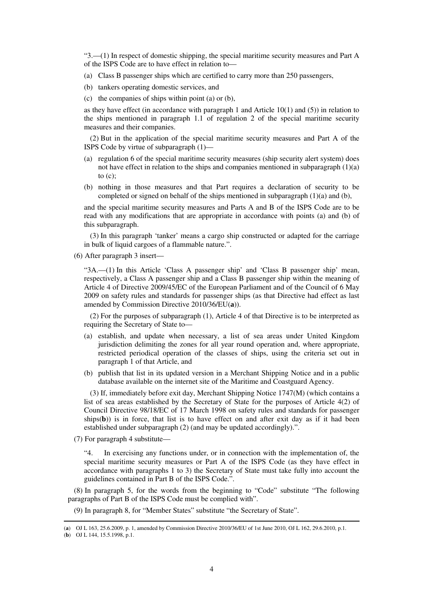"3.—(1) In respect of domestic shipping, the special maritime security measures and Part A of the ISPS Code are to have effect in relation to—

- (a) Class B passenger ships which are certified to carry more than 250 passengers,
- (b) tankers operating domestic services, and
- (c) the companies of ships within point (a) or (b),

as they have effect (in accordance with paragraph 1 and Article  $10(1)$  and  $(5)$ ) in relation to the ships mentioned in paragraph 1.1 of regulation 2 of the special maritime security measures and their companies.

(2) But in the application of the special maritime security measures and Part A of the ISPS Code by virtue of subparagraph (1)—

- (a) regulation 6 of the special maritime security measures (ship security alert system) does not have effect in relation to the ships and companies mentioned in subparagraph (1)(a) to  $(c)$ ;
- (b) nothing in those measures and that Part requires a declaration of security to be completed or signed on behalf of the ships mentioned in subparagraph  $(1)(a)$  and  $(b)$ ,

and the special maritime security measures and Parts A and B of the ISPS Code are to be read with any modifications that are appropriate in accordance with points (a) and (b) of this subparagraph.

(3) In this paragraph 'tanker' means a cargo ship constructed or adapted for the carriage in bulk of liquid cargoes of a flammable nature.".

(6) After paragraph 3 insert—

"3A.—(1) In this Article 'Class A passenger ship' and 'Class B passenger ship' mean, respectively, a Class A passenger ship and a Class B passenger ship within the meaning of Article 4 of Directive 2009/45/EC of the European Parliament and of the Council of 6 May 2009 on safety rules and standards for passenger ships (as that Directive had effect as last amended by Commission Directive 2010/36/EU(**a**)).

(2) For the purposes of subparagraph (1), Article 4 of that Directive is to be interpreted as requiring the Secretary of State to—

- (a) establish, and update when necessary, a list of sea areas under United Kingdom jurisdiction delimiting the zones for all year round operation and, where appropriate, restricted periodical operation of the classes of ships, using the criteria set out in paragraph 1 of that Article, and
- (b) publish that list in its updated version in a Merchant Shipping Notice and in a public database available on the internet site of the Maritime and Coastguard Agency.

(3) If, immediately before exit day, Merchant Shipping Notice 1747(M) (which contains a list of sea areas established by the Secretary of State for the purposes of Article 4(2) of Council Directive 98/18/EC of 17 March 1998 on safety rules and standards for passenger ships $(b)$ ) is in force, that list is to have effect on and after exit day as if it had been established under subparagraph (2) (and may be updated accordingly).".

(7) For paragraph 4 substitute—

"4. In exercising any functions under, or in connection with the implementation of, the special maritime security measures or Part A of the ISPS Code (as they have effect in accordance with paragraphs 1 to 3) the Secretary of State must take fully into account the guidelines contained in Part B of the ISPS Code.".

(8) In paragraph 5, for the words from the beginning to "Code" substitute "The following paragraphs of Part B of the ISPS Code must be complied with".

(9) In paragraph 8, for "Member States" substitute "the Secretary of State".

-

<sup>(</sup>**a**) OJ L 163, 25.6.2009, p. 1, amended by Commission Directive 2010/36/EU of 1st June 2010, OJ L 162, 29.6.2010, p.1.

<sup>(</sup>**b**) OJ L 144, 15.5.1998, p.1.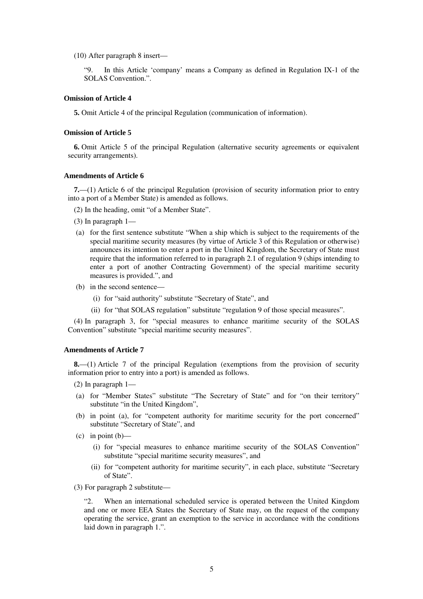(10) After paragraph 8 insert—

"9. In this Article 'company' means a Company as defined in Regulation IX-1 of the SOLAS Convention.".

#### **Omission of Article 4**

**5.** Omit Article 4 of the principal Regulation (communication of information).

#### **Omission of Article 5**

**6.** Omit Article 5 of the principal Regulation (alternative security agreements or equivalent security arrangements).

#### **Amendments of Article 6**

**7.**—(1) Article 6 of the principal Regulation (provision of security information prior to entry into a port of a Member State) is amended as follows.

(2) In the heading, omit "of a Member State".

- (3) In paragraph 1—
- (a) for the first sentence substitute "When a ship which is subject to the requirements of the special maritime security measures (by virtue of Article 3 of this Regulation or otherwise) announces its intention to enter a port in the United Kingdom, the Secretary of State must require that the information referred to in paragraph 2.1 of regulation 9 (ships intending to enter a port of another Contracting Government) of the special maritime security measures is provided.", and
- (b) in the second sentence—
	- (i) for "said authority" substitute "Secretary of State", and
	- (ii) for "that SOLAS regulation" substitute "regulation 9 of those special measures".

(4) In paragraph 3, for "special measures to enhance maritime security of the SOLAS Convention" substitute "special maritime security measures".

#### **Amendments of Article 7**

**8.**—(1) Article 7 of the principal Regulation (exemptions from the provision of security information prior to entry into a port) is amended as follows.

- (2) In paragraph 1—
- (a) for "Member States" substitute "The Secretary of State" and for "on their territory" substitute "in the United Kingdom",
- (b) in point (a), for "competent authority for maritime security for the port concerned" substitute "Secretary of State", and
- $(c)$  in point  $(b)$ 
	- (i) for "special measures to enhance maritime security of the SOLAS Convention" substitute "special maritime security measures", and
	- (ii) for "competent authority for maritime security", in each place, substitute "Secretary of State".
- (3) For paragraph 2 substitute—

"2. When an international scheduled service is operated between the United Kingdom and one or more EEA States the Secretary of State may, on the request of the company operating the service, grant an exemption to the service in accordance with the conditions laid down in paragraph 1.".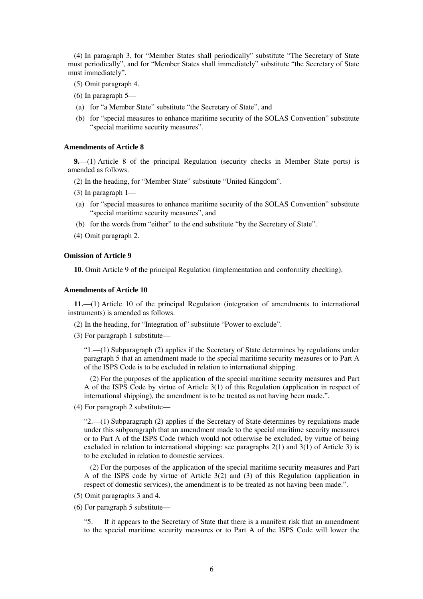(4) In paragraph 3, for "Member States shall periodically" substitute "The Secretary of State must periodically", and for "Member States shall immediately" substitute "the Secretary of State must immediately".

- (5) Omit paragraph 4.
- (6) In paragraph 5—
- (a) for "a Member State" substitute "the Secretary of State", and
- (b) for "special measures to enhance maritime security of the SOLAS Convention" substitute "special maritime security measures".

#### **Amendments of Article 8**

**9.**—(1) Article 8 of the principal Regulation (security checks in Member State ports) is amended as follows.

(2) In the heading, for "Member State" substitute "United Kingdom".

- (3) In paragraph 1—
- (a) for "special measures to enhance maritime security of the SOLAS Convention" substitute "special maritime security measures", and
- (b) for the words from "either" to the end substitute "by the Secretary of State".
- (4) Omit paragraph 2.

#### **Omission of Article 9**

**10.** Omit Article 9 of the principal Regulation (implementation and conformity checking).

#### **Amendments of Article 10**

**11.**—(1) Article 10 of the principal Regulation (integration of amendments to international instruments) is amended as follows.

(2) In the heading, for "Integration of" substitute "Power to exclude".

(3) For paragraph 1 substitute—

"1.—(1) Subparagraph (2) applies if the Secretary of State determines by regulations under paragraph 5 that an amendment made to the special maritime security measures or to Part A of the ISPS Code is to be excluded in relation to international shipping.

(2) For the purposes of the application of the special maritime security measures and Part A of the ISPS Code by virtue of Article 3(1) of this Regulation (application in respect of international shipping), the amendment is to be treated as not having been made.".

(4) For paragraph 2 substitute—

"2.—(1) Subparagraph (2) applies if the Secretary of State determines by regulations made under this subparagraph that an amendment made to the special maritime security measures or to Part A of the ISPS Code (which would not otherwise be excluded, by virtue of being excluded in relation to international shipping: see paragraphs 2(1) and 3(1) of Article 3) is to be excluded in relation to domestic services.

(2) For the purposes of the application of the special maritime security measures and Part A of the ISPS code by virtue of Article 3(2) and (3) of this Regulation (application in respect of domestic services), the amendment is to be treated as not having been made.".

- (5) Omit paragraphs 3 and 4.
- (6) For paragraph 5 substitute—

"5. If it appears to the Secretary of State that there is a manifest risk that an amendment to the special maritime security measures or to Part A of the ISPS Code will lower the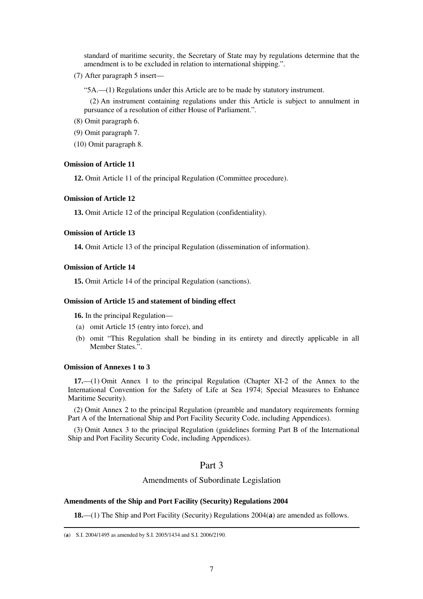standard of maritime security, the Secretary of State may by regulations determine that the amendment is to be excluded in relation to international shipping.".

(7) After paragraph 5 insert—

"5A.—(1) Regulations under this Article are to be made by statutory instrument.

(2) An instrument containing regulations under this Article is subject to annulment in pursuance of a resolution of either House of Parliament.".

- (8) Omit paragraph 6.
- (9) Omit paragraph 7.
- (10) Omit paragraph 8.

#### **Omission of Article 11**

**12.** Omit Article 11 of the principal Regulation (Committee procedure).

## **Omission of Article 12**

**13.** Omit Article 12 of the principal Regulation (confidentiality).

## **Omission of Article 13**

**14.** Omit Article 13 of the principal Regulation (dissemination of information).

#### **Omission of Article 14**

**15.** Omit Article 14 of the principal Regulation (sanctions).

#### **Omission of Article 15 and statement of binding effect**

**16.** In the principal Regulation—

- (a) omit Article 15 (entry into force), and
- (b) omit "This Regulation shall be binding in its entirety and directly applicable in all Member States.".

#### **Omission of Annexes 1 to 3**

-

**17.**—(1) Omit Annex 1 to the principal Regulation (Chapter XI-2 of the Annex to the International Convention for the Safety of Life at Sea 1974; Special Measures to Enhance Maritime Security).

(2) Omit Annex 2 to the principal Regulation (preamble and mandatory requirements forming Part A of the International Ship and Port Facility Security Code, including Appendices).

(3) Omit Annex 3 to the principal Regulation (guidelines forming Part B of the International Ship and Port Facility Security Code, including Appendices).

## Part 3

### Amendments of Subordinate Legislation

#### **Amendments of the Ship and Port Facility (Security) Regulations 2004**

**18.**—(1) The Ship and Port Facility (Security) Regulations 2004(**a**) are amended as follows.

<sup>(</sup>**a**) S.I. 2004/1495 as amended by S.I. 2005/1434 and S.I. 2006/2190.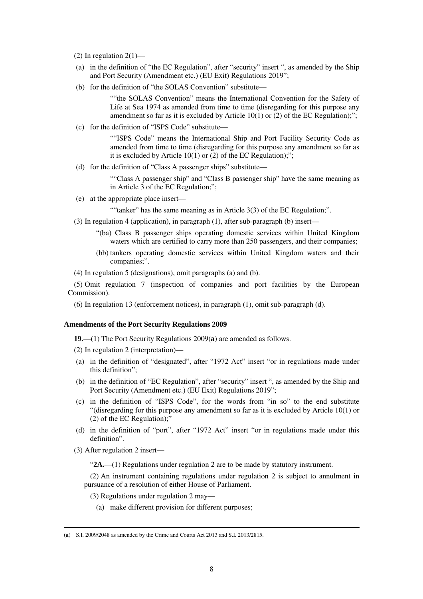(2) In regulation  $2(1)$ —

- (a) in the definition of "the EC Regulation", after "security" insert ", as amended by the Ship and Port Security (Amendment etc.) (EU Exit) Regulations 2019";
- (b) for the definition of "the SOLAS Convention" substitute—

""the SOLAS Convention" means the International Convention for the Safety of Life at Sea 1974 as amended from time to time (disregarding for this purpose any amendment so far as it is excluded by Article  $10(1)$  or (2) of the EC Regulation);";

(c) for the definition of "ISPS Code" substitute—

""ISPS Code" means the International Ship and Port Facility Security Code as amended from time to time (disregarding for this purpose any amendment so far as it is excluded by Article 10(1) or (2) of the EC Regulation);";

(d) for the definition of "Class A passenger ships" substitute—

""Class A passenger ship" and "Class B passenger ship" have the same meaning as in Article 3 of the EC Regulation;";

(e) at the appropriate place insert—

""tanker" has the same meaning as in Article 3(3) of the EC Regulation;".

- (3) In regulation 4 (application), in paragraph (1), after sub-paragraph (b) insert—
	- "(ba) Class B passenger ships operating domestic services within United Kingdom waters which are certified to carry more than 250 passengers, and their companies;
	- (bb) tankers operating domestic services within United Kingdom waters and their companies;".
- (4) In regulation 5 (designations), omit paragraphs (a) and (b).

(5) Omit regulation 7 (inspection of companies and port facilities by the European Commission).

(6) In regulation 13 (enforcement notices), in paragraph (1), omit sub-paragraph (d).

#### **Amendments of the Port Security Regulations 2009**

**19.**—(1) The Port Security Regulations 2009(**a**) are amended as follows.

(2) In regulation 2 (interpretation)—

- (a) in the definition of "designated", after "1972 Act" insert "or in regulations made under this definition";
- (b) in the definition of "EC Regulation", after "security" insert ", as amended by the Ship and Port Security (Amendment etc.) (EU Exit) Regulations 2019";
- (c) in the definition of "ISPS Code", for the words from "in so" to the end substitute "(disregarding for this purpose any amendment so far as it is excluded by Article 10(1) or (2) of the EC Regulation);"
- (d) in the definition of "port", after "1972 Act" insert "or in regulations made under this definition".
- (3) After regulation 2 insert—

-

"**2A.**—(1) Regulations under regulation 2 are to be made by statutory instrument.

(2) An instrument containing regulations under regulation 2 is subject to annulment in pursuance of a resolution of **e**ither House of Parliament.

- (3) Regulations under regulation 2 may—
	- (a) make different provision for different purposes;

<sup>(</sup>**a**) S.I. 2009/2048 as amended by the Crime and Courts Act 2013 and S.I. 2013/2815.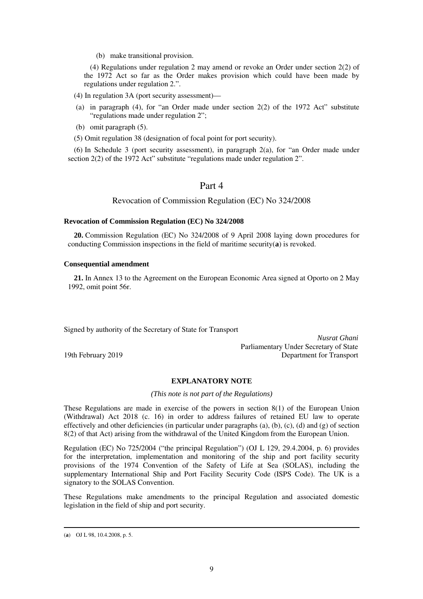(b) make transitional provision.

(4) Regulations under regulation 2 may amend or revoke an Order under section 2(2) of the 1972 Act so far as the Order makes provision which could have been made by regulations under regulation 2.".

(4) In regulation 3A (port security assessment)—

- (a) in paragraph (4), for "an Order made under section 2(2) of the 1972 Act" substitute "regulations made under regulation 2";
- (b) omit paragraph (5).
- (5) Omit regulation 38 (designation of focal point for port security).

(6) In Schedule 3 (port security assessment), in paragraph 2(a), for "an Order made under section 2(2) of the 1972 Act" substitute "regulations made under regulation 2".

## Part 4

Revocation of Commission Regulation (EC) No 324/2008

#### **Revocation of Commission Regulation (EC) No 324/2008**

**20.** Commission Regulation (EC) No 324/2008 of 9 April 2008 laying down procedures for conducting Commission inspections in the field of maritime security(**a**) is revoked.

#### **Consequential amendment**

**21.** In Annex 13 to the Agreement on the European Economic Area signed at Oporto on 2 May 1992, omit point 56r.

Signed by authority of the Secretary of State for Transport

*Nusrat Ghani* Parliamentary Under Secretary of State 19th February 2019 Department for Transport

## **EXPLANATORY NOTE**

*(This note is not part of the Regulations)* 

These Regulations are made in exercise of the powers in section 8(1) of the European Union (Withdrawal) Act 2018 (c. 16) in order to address failures of retained EU law to operate effectively and other deficiencies (in particular under paragraphs (a), (b), (c), (d) and (g) of section 8(2) of that Act) arising from the withdrawal of the United Kingdom from the European Union.

Regulation (EC) No 725/2004 ("the principal Regulation") (OJ L 129, 29.4.2004, p. 6) provides for the interpretation, implementation and monitoring of the ship and port facility security provisions of the 1974 Convention of the Safety of Life at Sea (SOLAS), including the supplementary International Ship and Port Facility Security Code (ISPS Code). The UK is a signatory to the SOLAS Convention.

These Regulations make amendments to the principal Regulation and associated domestic legislation in the field of ship and port security.

-

<sup>(</sup>**a**) OJ L 98, 10.4.2008, p. 5.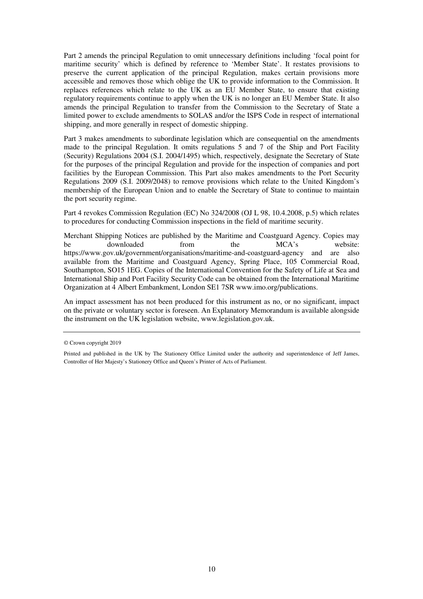Part 2 amends the principal Regulation to omit unnecessary definitions including 'focal point for maritime security' which is defined by reference to 'Member State'. It restates provisions to preserve the current application of the principal Regulation, makes certain provisions more accessible and removes those which oblige the UK to provide information to the Commission. It replaces references which relate to the UK as an EU Member State, to ensure that existing regulatory requirements continue to apply when the UK is no longer an EU Member State. It also amends the principal Regulation to transfer from the Commission to the Secretary of State a limited power to exclude amendments to SOLAS and/or the ISPS Code in respect of international shipping, and more generally in respect of domestic shipping.

Part 3 makes amendments to subordinate legislation which are consequential on the amendments made to the principal Regulation. It omits regulations 5 and 7 of the Ship and Port Facility (Security) Regulations 2004 (S.I. 2004/1495) which, respectively, designate the Secretary of State for the purposes of the principal Regulation and provide for the inspection of companies and port facilities by the European Commission. This Part also makes amendments to the Port Security Regulations 2009 (S.I. 2009/2048) to remove provisions which relate to the United Kingdom's membership of the European Union and to enable the Secretary of State to continue to maintain the port security regime.

Part 4 revokes Commission Regulation (EC) No 324/2008 (OJ L 98, 10.4.2008, p.5) which relates to procedures for conducting Commission inspections in the field of maritime security.

Merchant Shipping Notices are published by the Maritime and Coastguard Agency. Copies may be downloaded from the MCA's website: https://www.gov.uk/government/organisations/maritime-and-coastguard-agency and are also available from the Maritime and Coastguard Agency, Spring Place, 105 Commercial Road, Southampton, SO15 1EG. Copies of the International Convention for the Safety of Life at Sea and International Ship and Port Facility Security Code can be obtained from the International Maritime Organization at 4 Albert Embankment, London SE1 7SR www.imo.org/publications.

An impact assessment has not been produced for this instrument as no, or no significant, impact on the private or voluntary sector is foreseen. An Explanatory Memorandum is available alongside the instrument on the UK legislation website, www.legislation.gov.uk.

<sup>©</sup> Crown copyright 2019

Printed and published in the UK by The Stationery Office Limited under the authority and superintendence of Jeff James, Controller of Her Majesty's Stationery Office and Queen's Printer of Acts of Parliament.